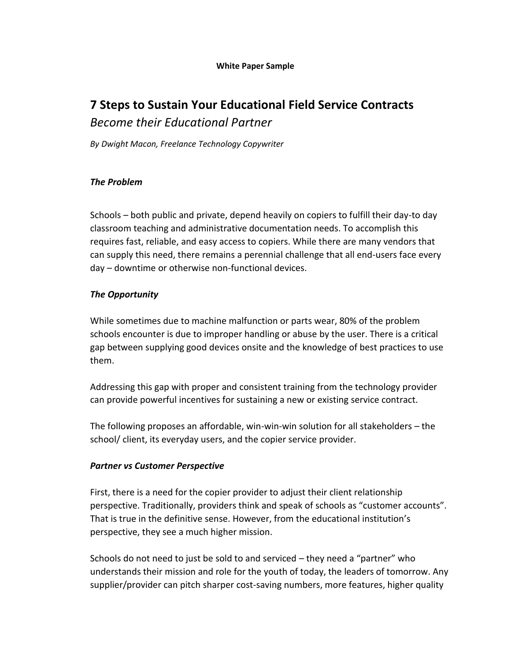#### **White Paper Sample**

# **7 Steps to Sustain Your Educational Field Service Contracts** *Become their Educational Partner*

*By Dwight Macon, Freelance Technology Copywriter*

#### *The Problem*

Schools – both public and private, depend heavily on copiers to fulfill their day-to day classroom teaching and administrative documentation needs. To accomplish this requires fast, reliable, and easy access to copiers. While there are many vendors that can supply this need, there remains a perennial challenge that all end-users face every day – downtime or otherwise non-functional devices.

### *The Opportunity*

While sometimes due to machine malfunction or parts wear, 80% of the problem schools encounter is due to improper handling or abuse by the user. There is a critical gap between supplying good devices onsite and the knowledge of best practices to use them.

Addressing this gap with proper and consistent training from the technology provider can provide powerful incentives for sustaining a new or existing service contract.

The following proposes an affordable, win-win-win solution for all stakeholders – the school/ client, its everyday users, and the copier service provider.

### *Partner vs Customer Perspective*

First, there is a need for the copier provider to adjust their client relationship perspective. Traditionally, providers think and speak of schools as "customer accounts". That is true in the definitive sense. However, from the educational institution's perspective, they see a much higher mission.

Schools do not need to just be sold to and serviced – they need a "partner" who understands their mission and role for the youth of today, the leaders of tomorrow. Any supplier/provider can pitch sharper cost-saving numbers, more features, higher quality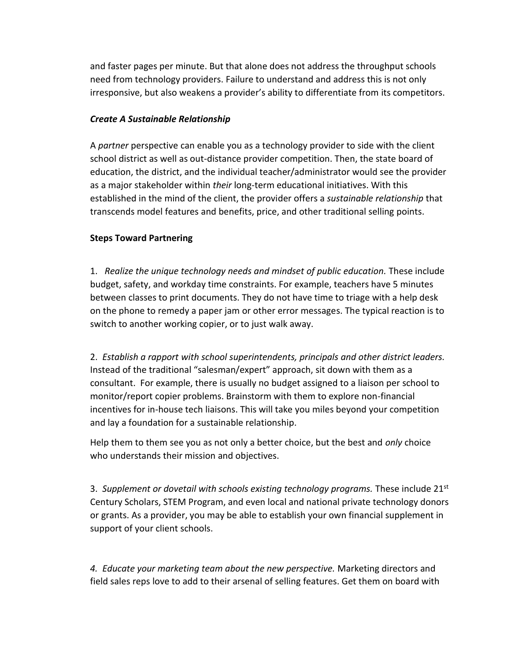and faster pages per minute. But that alone does not address the throughput schools need from technology providers. Failure to understand and address this is not only irresponsive, but also weakens a provider's ability to differentiate from its competitors.

#### *Create A Sustainable Relationship*

A *partner* perspective can enable you as a technology provider to side with the client school district as well as out-distance provider competition. Then, the state board of education, the district, and the individual teacher/administrator would see the provider as a major stakeholder within *their* long-term educational initiatives. With this established in the mind of the client, the provider offers a *sustainable relationship* that transcends model features and benefits, price, and other traditional selling points.

#### **Steps Toward Partnering**

1. *Realize the unique technology needs and mindset of public education.* These include budget, safety, and workday time constraints. For example, teachers have 5 minutes between classes to print documents. They do not have time to triage with a help desk on the phone to remedy a paper jam or other error messages. The typical reaction is to switch to another working copier, or to just walk away.

2. *Establish a rapport with school superintendents, principals and other district leaders.* Instead of the traditional "salesman/expert" approach, sit down with them as a consultant. For example, there is usually no budget assigned to a liaison per school to monitor/report copier problems. Brainstorm with them to explore non-financial incentives for in-house tech liaisons. This will take you miles beyond your competition and lay a foundation for a sustainable relationship.

Help them to them see you as not only a better choice, but the best and *only* choice who understands their mission and objectives.

3. *Supplement or dovetail with schools existing technology programs.* These include 21st Century Scholars, STEM Program, and even local and national private technology donors or grants. As a provider, you may be able to establish your own financial supplement in support of your client schools.

*4. Educate your marketing team about the new perspective.* Marketing directors and field sales reps love to add to their arsenal of selling features. Get them on board with